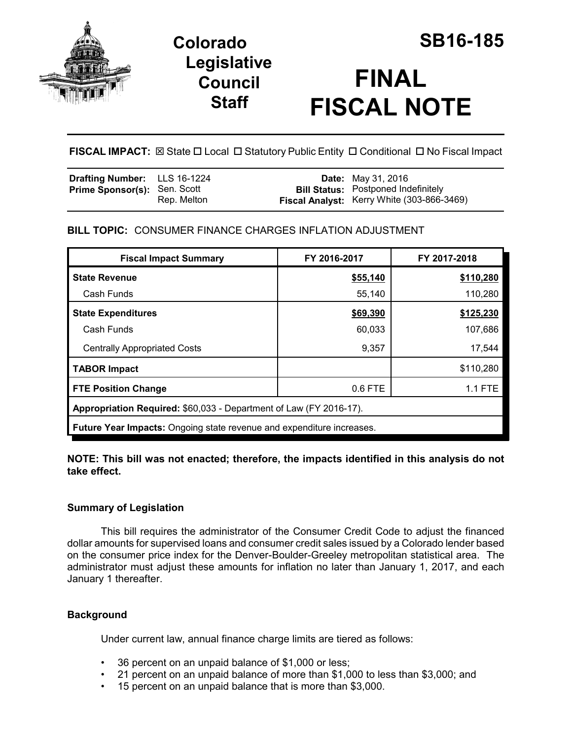

**Legislative Council Staff**

# **FINAL FISCAL NOTE**

**FISCAL IMPACT:**  $\boxtimes$  **State □ Local □ Statutory Public Entity □ Conditional □ No Fiscal Impact** 

| <b>Drafting Number:</b> LLS 16-1224 |             | <b>Date:</b> May 31, 2016                                                                |
|-------------------------------------|-------------|------------------------------------------------------------------------------------------|
| <b>Prime Sponsor(s): Sen. Scott</b> | Rep. Melton | <b>Bill Status:</b> Postponed Indefinitely<br>Fiscal Analyst: Kerry White (303-866-3469) |

# **BILL TOPIC:** CONSUMER FINANCE CHARGES INFLATION ADJUSTMENT

| <b>Fiscal Impact Summary</b>                                                 | FY 2016-2017 | FY 2017-2018   |  |  |  |
|------------------------------------------------------------------------------|--------------|----------------|--|--|--|
| <b>State Revenue</b>                                                         | \$55,140     | \$110,280      |  |  |  |
| Cash Funds                                                                   | 55,140       | 110,280        |  |  |  |
| <b>State Expenditures</b>                                                    | \$69,390     | \$125,230      |  |  |  |
| Cash Funds                                                                   | 60,033       | 107,686        |  |  |  |
| <b>Centrally Appropriated Costs</b>                                          | 9,357        | 17,544         |  |  |  |
| <b>TABOR Impact</b>                                                          |              | \$110,280      |  |  |  |
| <b>FTE Position Change</b>                                                   | 0.6 FTE      | <b>1.1 FTE</b> |  |  |  |
| Appropriation Required: \$60,033 - Department of Law (FY 2016-17).           |              |                |  |  |  |
| <b>Future Year Impacts:</b> Ongoing state revenue and expenditure increases. |              |                |  |  |  |

## **NOTE: This bill was not enacted; therefore, the impacts identified in this analysis do not take effect.**

# **Summary of Legislation**

This bill requires the administrator of the Consumer Credit Code to adjust the financed dollar amounts for supervised loans and consumer credit sales issued by a Colorado lender based on the consumer price index for the Denver-Boulder-Greeley metropolitan statistical area. The administrator must adjust these amounts for inflation no later than January 1, 2017, and each January 1 thereafter.

# **Background**

Under current law, annual finance charge limits are tiered as follows:

- 36 percent on an unpaid balance of \$1,000 or less;
- 21 percent on an unpaid balance of more than \$1,000 to less than \$3,000; and
- 15 percent on an unpaid balance that is more than \$3,000.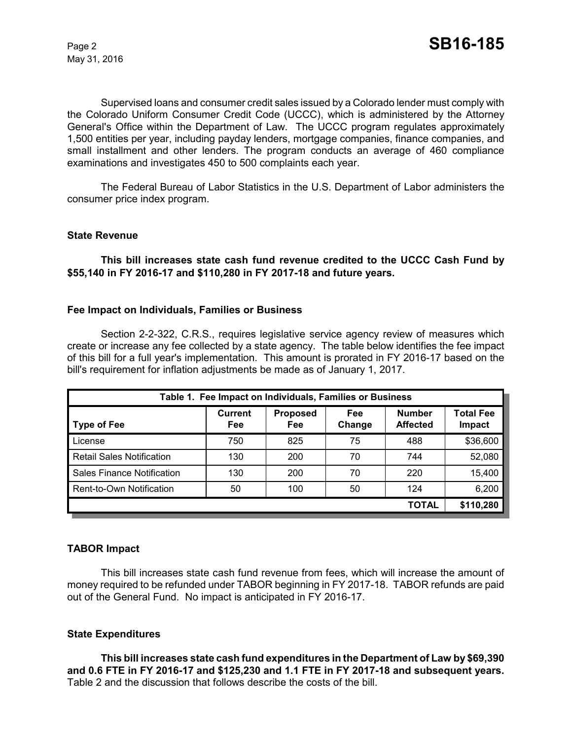May 31, 2016

Supervised loans and consumer credit sales issued by a Colorado lender must comply with the Colorado Uniform Consumer Credit Code (UCCC), which is administered by the Attorney General's Office within the Department of Law. The UCCC program regulates approximately 1,500 entities per year, including payday lenders, mortgage companies, finance companies, and small installment and other lenders. The program conducts an average of 460 compliance examinations and investigates 450 to 500 complaints each year.

The Federal Bureau of Labor Statistics in the U.S. Department of Labor administers the consumer price index program.

#### **State Revenue**

**This bill increases state cash fund revenue credited to the UCCC Cash Fund by \$55,140 in FY 2016-17 and \$110,280 in FY 2017-18 and future years.**

#### **Fee Impact on Individuals, Families or Business**

Section 2-2-322, C.R.S., requires legislative service agency review of measures which create or increase any fee collected by a state agency. The table below identifies the fee impact of this bill for a full year's implementation. This amount is prorated in FY 2016-17 based on the bill's requirement for inflation adjustments be made as of January 1, 2017.

| Table 1. Fee Impact on Individuals, Families or Business |                       |                               |               |                                  |                            |  |
|----------------------------------------------------------|-----------------------|-------------------------------|---------------|----------------------------------|----------------------------|--|
| <b>Type of Fee</b>                                       | <b>Current</b><br>Fee | <b>Proposed</b><br><b>Fee</b> | Fee<br>Change | <b>Number</b><br><b>Affected</b> | <b>Total Fee</b><br>Impact |  |
| License                                                  | 750                   | 825                           | 75            | 488                              | \$36,600                   |  |
| <b>Retail Sales Notification</b>                         | 130                   | 200                           | 70            | 744                              | 52,080                     |  |
| <b>Sales Finance Notification</b>                        | 130                   | 200                           | 70            | 220                              | 15,400                     |  |
| Rent-to-Own Notification                                 | 50                    | 100                           | 50            | 124                              | 6,200                      |  |
|                                                          |                       |                               |               | <b>TOTAL</b>                     | \$110,280                  |  |

## **TABOR Impact**

This bill increases state cash fund revenue from fees, which will increase the amount of money required to be refunded under TABOR beginning in FY 2017-18. TABOR refunds are paid out of the General Fund. No impact is anticipated in FY 2016-17.

## **State Expenditures**

**This bill increases state cash fund expenditures in the Department of Law by \$69,390 and 0.6 FTE in FY 2016-17 and \$125,230 and 1.1 FTE in FY 2017-18 and subsequent years.**  Table 2 and the discussion that follows describe the costs of the bill.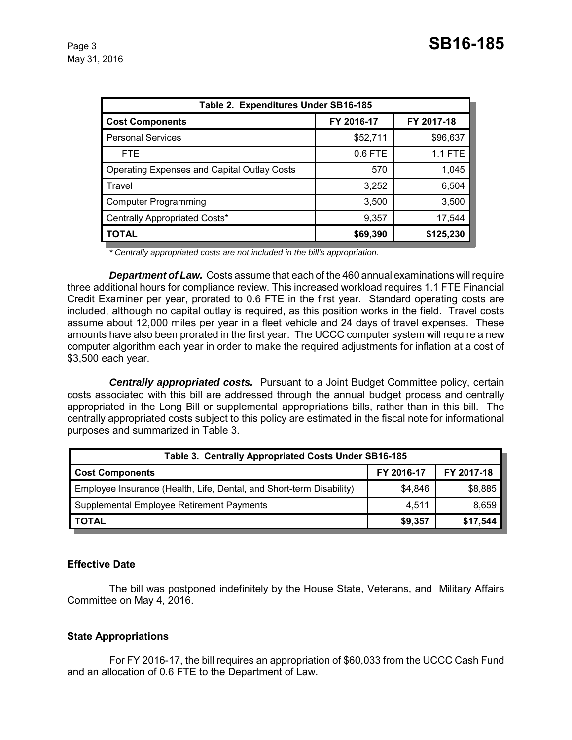| Table 2. Expenditures Under SB16-185               |            |            |  |  |  |
|----------------------------------------------------|------------|------------|--|--|--|
| <b>Cost Components</b>                             | FY 2016-17 | FY 2017-18 |  |  |  |
| <b>Personal Services</b>                           | \$52,711   | \$96,637   |  |  |  |
| FTE.                                               | $0.6$ FTE  | 1.1 FTE    |  |  |  |
| <b>Operating Expenses and Capital Outlay Costs</b> | 570        | 1,045      |  |  |  |
| Travel                                             | 3,252      | 6,504      |  |  |  |
| <b>Computer Programming</b>                        | 3,500      | 3,500      |  |  |  |
| Centrally Appropriated Costs*                      | 9,357      | 17,544     |  |  |  |
| <b>TOTAL</b>                                       | \$69,390   | \$125,230  |  |  |  |

*\* Centrally appropriated costs are not included in the bill's appropriation.*

*Department of Law.* Costs assume that each of the 460 annual examinations will require three additional hours for compliance review. This increased workload requires 1.1 FTE Financial Credit Examiner per year, prorated to 0.6 FTE in the first year. Standard operating costs are included, although no capital outlay is required, as this position works in the field. Travel costs assume about 12,000 miles per year in a fleet vehicle and 24 days of travel expenses. These amounts have also been prorated in the first year. The UCCC computer system will require a new computer algorithm each year in order to make the required adjustments for inflation at a cost of \$3,500 each year.

*Centrally appropriated costs.* Pursuant to a Joint Budget Committee policy, certain costs associated with this bill are addressed through the annual budget process and centrally appropriated in the Long Bill or supplemental appropriations bills, rather than in this bill. The centrally appropriated costs subject to this policy are estimated in the fiscal note for informational purposes and summarized in Table 3.

| Table 3. Centrally Appropriated Costs Under SB16-185                 |            |            |  |  |
|----------------------------------------------------------------------|------------|------------|--|--|
| <b>Cost Components</b>                                               | FY 2016-17 | FY 2017-18 |  |  |
| Employee Insurance (Health, Life, Dental, and Short-term Disability) | \$4,846    | \$8,885    |  |  |
| Supplemental Employee Retirement Payments                            | 4,511      | 8,659      |  |  |
| <b>TOTAL</b>                                                         | \$9,357    | \$17,544   |  |  |

## **Effective Date**

The bill was postponed indefinitely by the House State, Veterans, and Military Affairs Committee on May 4, 2016.

## **State Appropriations**

For FY 2016-17, the bill requires an appropriation of \$60,033 from the UCCC Cash Fund and an allocation of 0.6 FTE to the Department of Law.